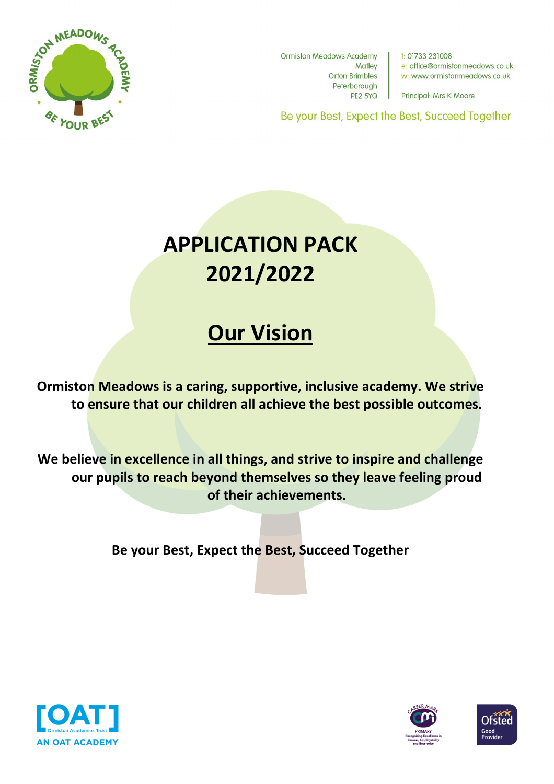

**Ormiston Meadows Academy Matley Orton Brimbles** Peterborough **PE2 5YQ** 

 $t: 01733231008$ e: office@ormistonmeadows.co.uk w: www.ormistonmeadows.co.uk

Principal: Mrs K Moore

Be your Best, Expect the Best, Succeed Together

## **APPLICATION PACK 2021/2022**

## **Our Vision**

**Ormiston Meadows is a caring, supportive, inclusive academy. We strive to ensure that our children all achieve the best possible outcomes.**

**We believe in excellence in all things, and strive to inspire and challenge our pupils to reach beyond themselves so they leave feeling proud of their achievements.**

**Be your Best, Expect the Best, Succeed Together**